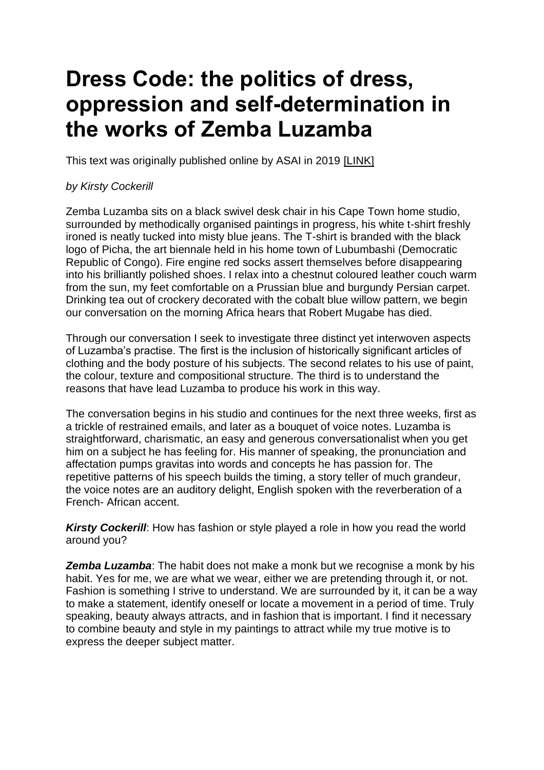## **Dress Code: the politics of dress, oppression and self-determination in the works of Zemba Luzamba**

This text was originally published online by ASAI in 2019 [\[LINK\]](https://asai.co.za/dress-code-zemba-luzamba/#more-18711)

## *by Kirsty Cockerill*

Zemba Luzamba sits on a black swivel desk chair in his Cape Town home studio, surrounded by methodically organised paintings in progress, his white t-shirt freshly ironed is neatly tucked into misty blue jeans. The T-shirt is branded with the black logo of Picha, the art biennale held in his home town of Lubumbashi (Democratic Republic of Congo). Fire engine red socks assert themselves before disappearing into his brilliantly polished shoes. I relax into a chestnut coloured leather couch warm from the sun, my feet comfortable on a Prussian blue and burgundy Persian carpet. Drinking tea out of crockery decorated with the cobalt blue willow pattern, we begin our conversation on the morning Africa hears that Robert Mugabe has died.

Through our conversation I seek to investigate three distinct yet interwoven aspects of Luzamba's practise. The first is the inclusion of historically significant articles of clothing and the body posture of his subjects. The second relates to his use of paint, the colour, texture and compositional structure. The third is to understand the reasons that have lead Luzamba to produce his work in this way.

The conversation begins in his studio and continues for the next three weeks, first as a trickle of restrained emails, and later as a bouquet of voice notes. Luzamba is straightforward, charismatic, an easy and generous conversationalist when you get him on a subject he has feeling for. His manner of speaking, the pronunciation and affectation pumps gravitas into words and concepts he has passion for. The repetitive patterns of his speech builds the timing, a story teller of much grandeur, the voice notes are an auditory delight, English spoken with the reverberation of a French- African accent.

*Kirsty Cockerill*: How has fashion or style played a role in how you read the world around you?

*Zemba Luzamba*: The habit does not make a monk but we recognise a monk by his habit. Yes for me, we are what we wear, either we are pretending through it, or not. Fashion is something I strive to understand. We are surrounded by it, it can be a way to make a statement, identify oneself or locate a movement in a period of time. Truly speaking, beauty always attracts, and in fashion that is important. I find it necessary to combine beauty and style in my paintings to attract while my true motive is to express the deeper subject matter.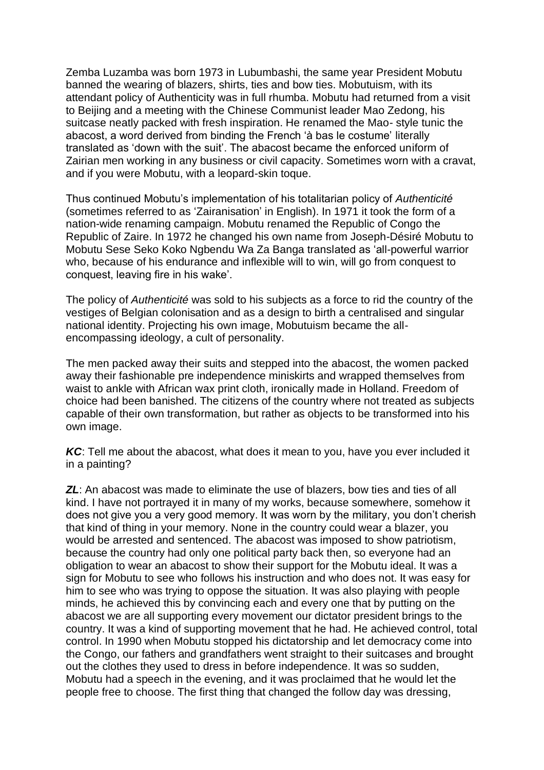Zemba Luzamba was born 1973 in Lubumbashi, the same year President Mobutu banned the wearing of blazers, shirts, ties and bow ties. Mobutuism, with its attendant policy of Authenticity was in full rhumba. Mobutu had returned from a visit to Beijing and a meeting with the Chinese Communist leader Mao Zedong, his suitcase neatly packed with fresh inspiration. He renamed the Mao- style tunic the abacost, a word derived from binding the French 'à bas le costume' literally translated as 'down with the suit'. The abacost became the enforced uniform of Zairian men working in any business or civil capacity. Sometimes worn with a cravat, and if you were Mobutu, with a leopard-skin toque.

Thus continued Mobutu's implementation of his totalitarian policy of *Authenticité* (sometimes referred to as 'Zairanisation' in English). In 1971 it took the form of a nation-wide renaming campaign. Mobutu renamed the Republic of Congo the Republic of Zaire. In 1972 he changed his own name from Joseph-Désiré Mobutu to Mobutu Sese Seko Koko Ngbendu Wa Za Banga translated as 'all-powerful warrior who, because of his endurance and inflexible will to win, will go from conquest to conquest, leaving fire in his wake'.

The policy of *Authenticité* was sold to his subjects as a force to rid the country of the vestiges of Belgian colonisation and as a design to birth a centralised and singular national identity. Projecting his own image, Mobutuism became the allencompassing ideology, a cult of personality.

The men packed away their suits and stepped into the abacost, the women packed away their fashionable pre independence miniskirts and wrapped themselves from waist to ankle with African wax print cloth, ironically made in Holland. Freedom of choice had been banished. The citizens of the country where not treated as subjects capable of their own transformation, but rather as objects to be transformed into his own image.

*KC*: Tell me about the abacost, what does it mean to you, have you ever included it in a painting?

*ZL*: An abacost was made to eliminate the use of blazers, bow ties and ties of all kind. I have not portrayed it in many of my works, because somewhere, somehow it does not give you a very good memory. It was worn by the military, you don't cherish that kind of thing in your memory. None in the country could wear a blazer, you would be arrested and sentenced. The abacost was imposed to show patriotism, because the country had only one political party back then, so everyone had an obligation to wear an abacost to show their support for the Mobutu ideal. It was a sign for Mobutu to see who follows his instruction and who does not. It was easy for him to see who was trying to oppose the situation. It was also playing with people minds, he achieved this by convincing each and every one that by putting on the abacost we are all supporting every movement our dictator president brings to the country. It was a kind of supporting movement that he had. He achieved control, total control. In 1990 when Mobutu stopped his dictatorship and let democracy come into the Congo, our fathers and grandfathers went straight to their suitcases and brought out the clothes they used to dress in before independence. It was so sudden, Mobutu had a speech in the evening, and it was proclaimed that he would let the people free to choose. The first thing that changed the follow day was dressing,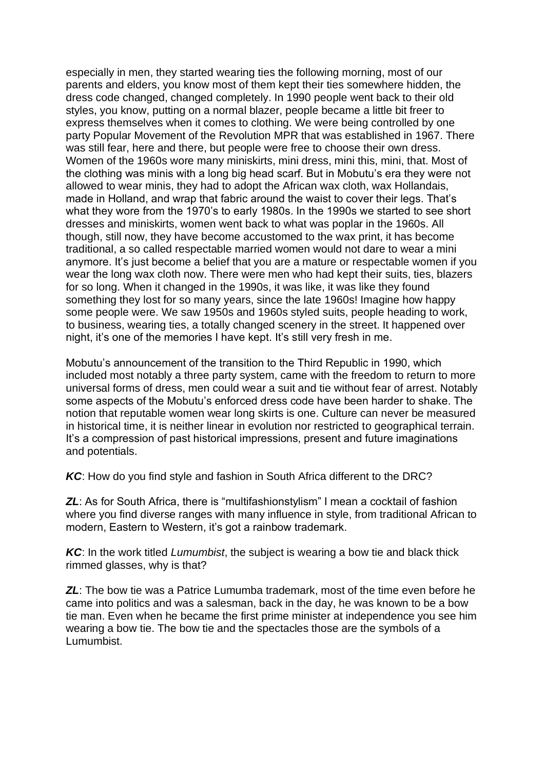especially in men, they started wearing ties the following morning, most of our parents and elders, you know most of them kept their ties somewhere hidden, the dress code changed, changed completely. In 1990 people went back to their old styles, you know, putting on a normal blazer, people became a little bit freer to express themselves when it comes to clothing. We were being controlled by one party Popular Movement of the Revolution MPR that was established in 1967. There was still fear, here and there, but people were free to choose their own dress. Women of the 1960s wore many miniskirts, mini dress, mini this, mini, that. Most of the clothing was minis with a long big head scarf. But in Mobutu's era they were not allowed to wear minis, they had to adopt the African wax cloth, wax Hollandais, made in Holland, and wrap that fabric around the waist to cover their legs. That's what they wore from the 1970's to early 1980s. In the 1990s we started to see short dresses and miniskirts, women went back to what was poplar in the 1960s. All though, still now, they have become accustomed to the wax print, it has become traditional, a so called respectable married women would not dare to wear a mini anymore. It's just become a belief that you are a mature or respectable women if you wear the long wax cloth now. There were men who had kept their suits, ties, blazers for so long. When it changed in the 1990s, it was like, it was like they found something they lost for so many years, since the late 1960s! Imagine how happy some people were. We saw 1950s and 1960s styled suits, people heading to work, to business, wearing ties, a totally changed scenery in the street. It happened over night, it's one of the memories I have kept. It's still very fresh in me.

Mobutu's announcement of the transition to the Third Republic in 1990, which included most notably a three party system, came with the freedom to return to more universal forms of dress, men could wear a suit and tie without fear of arrest. Notably some aspects of the Mobutu's enforced dress code have been harder to shake. The notion that reputable women wear long skirts is one. Culture can never be measured in historical time, it is neither linear in evolution nor restricted to geographical terrain. It's a compression of past historical impressions, present and future imaginations and potentials.

*KC*: How do you find style and fashion in South Africa different to the DRC?

**ZL:** As for South Africa, there is "multifashionstylism" I mean a cocktail of fashion where you find diverse ranges with many influence in style, from traditional African to modern, Eastern to Western, it's got a rainbow trademark.

*KC*: In the work titled *Lumumbist*, the subject is wearing a bow tie and black thick rimmed glasses, why is that?

*ZL*: The bow tie was a Patrice Lumumba trademark, most of the time even before he came into politics and was a salesman, back in the day, he was known to be a bow tie man. Even when he became the first prime minister at independence you see him wearing a bow tie. The bow tie and the spectacles those are the symbols of a Lumumbist.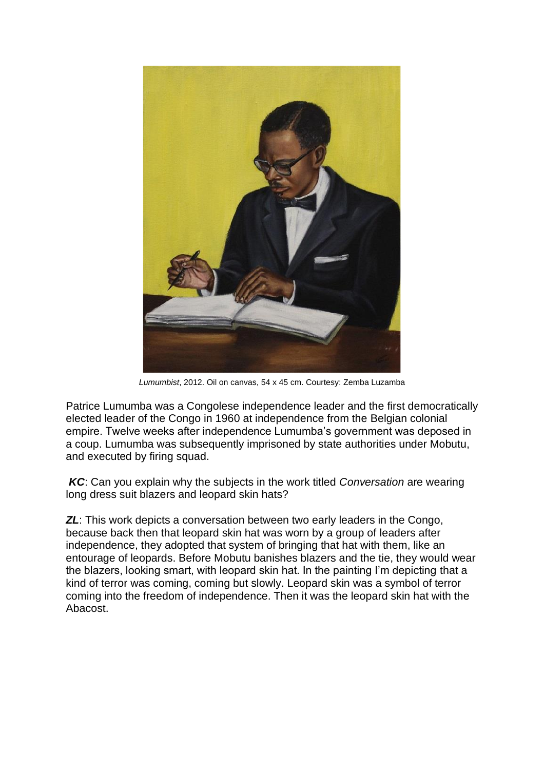

*Lumumbist*, 2012. Oil on canvas, 54 x 45 cm. Courtesy: Zemba Luzamba

Patrice Lumumba was a Congolese independence leader and the first democratically elected leader of the Congo in 1960 at independence from the Belgian colonial empire. Twelve weeks after independence Lumumba's government was deposed in a coup. Lumumba was subsequently imprisoned by state authorities under Mobutu, and executed by firing squad.

*KC*: Can you explain why the subjects in the work titled *Conversation* are wearing long dress suit blazers and leopard skin hats?

*ZL*: This work depicts a conversation between two early leaders in the Congo, because back then that leopard skin hat was worn by a group of leaders after independence, they adopted that system of bringing that hat with them, like an entourage of leopards. Before Mobutu banishes blazers and the tie, they would wear the blazers, looking smart, with leopard skin hat. In the painting I'm depicting that a kind of terror was coming, coming but slowly. Leopard skin was a symbol of terror coming into the freedom of independence. Then it was the leopard skin hat with the Abacost.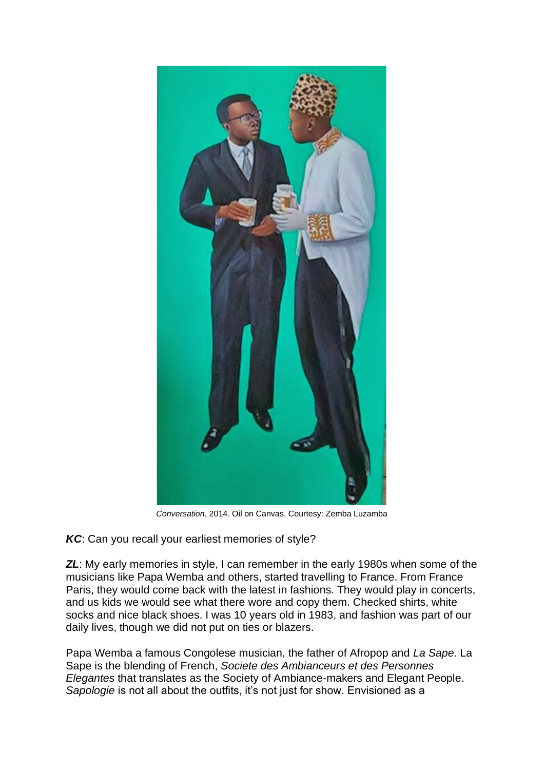

*Conversation*, 2014. Oil on Canvas. Courtesy: Zemba Luzamba

*KC*: Can you recall your earliest memories of style?

**ZL:** My early memories in style, I can remember in the early 1980s when some of the musicians like Papa Wemba and others, started travelling to France. From France Paris, they would come back with the latest in fashions. They would play in concerts, and us kids we would see what there wore and copy them. Checked shirts, white socks and nice black shoes. I was 10 years old in 1983, and fashion was part of our daily lives, though we did not put on ties or blazers.

Papa Wemba a famous Congolese musician, the father of Afropop and *La Sape*. La Sape is the blending of French, *Societe des Ambianceurs et des Personnes Elegantes* that translates as the Society of Ambiance-makers and Elegant People. *Sapologie* is not all about the outfits, it's not just for show. Envisioned as a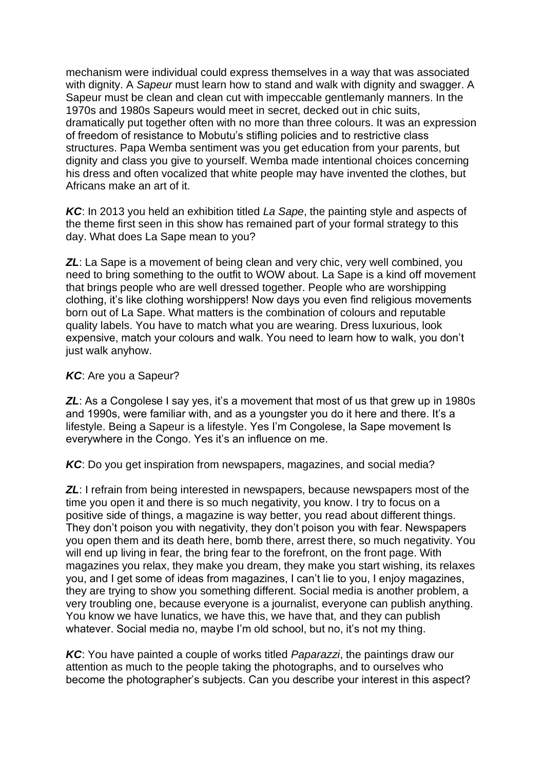mechanism were individual could express themselves in a way that was associated with dignity. A *Sapeur* must learn how to stand and walk with dignity and swagger. A Sapeur must be clean and clean cut with impeccable gentlemanly manners. In the 1970s and 1980s Sapeurs would meet in secret, decked out in chic suits, dramatically put together often with no more than three colours. It was an expression of freedom of resistance to Mobutu's stifling policies and to restrictive class structures. Papa Wemba sentiment was you get education from your parents, but dignity and class you give to yourself. Wemba made intentional choices concerning his dress and often vocalized that white people may have invented the clothes, but Africans make an art of it.

*KC*: In 2013 you held an exhibition titled *La Sape*, the painting style and aspects of the theme first seen in this show has remained part of your formal strategy to this day. What does La Sape mean to you?

**ZL**: La Sape is a movement of being clean and very chic, very well combined, you need to bring something to the outfit to WOW about. La Sape is a kind off movement that brings people who are well dressed together. People who are worshipping clothing, it's like clothing worshippers! Now days you even find religious movements born out of La Sape. What matters is the combination of colours and reputable quality labels. You have to match what you are wearing. Dress luxurious, look expensive, match your colours and walk. You need to learn how to walk, you don't just walk anyhow.

## *KC*: Are you a Sapeur?

**ZL:** As a Congolese I say yes, it's a movement that most of us that grew up in 1980s and 1990s, were familiar with, and as a youngster you do it here and there. It's a lifestyle. Being a Sapeur is a lifestyle. Yes I'm Congolese, la Sape movement Is everywhere in the Congo. Yes it's an influence on me.

*KC*: Do you get inspiration from newspapers, magazines, and social media?

**ZL:** I refrain from being interested in newspapers, because newspapers most of the time you open it and there is so much negativity, you know. I try to focus on a positive side of things, a magazine is way better, you read about different things. They don't poison you with negativity, they don't poison you with fear. Newspapers you open them and its death here, bomb there, arrest there, so much negativity. You will end up living in fear, the bring fear to the forefront, on the front page. With magazines you relax, they make you dream, they make you start wishing, its relaxes you, and I get some of ideas from magazines, I can't lie to you, I enjoy magazines, they are trying to show you something different. Social media is another problem, a very troubling one, because everyone is a journalist, everyone can publish anything. You know we have lunatics, we have this, we have that, and they can publish whatever. Social media no, maybe I'm old school, but no, it's not my thing.

*KC*: You have painted a couple of works titled *Paparazzi*, the paintings draw our attention as much to the people taking the photographs, and to ourselves who become the photographer's subjects. Can you describe your interest in this aspect?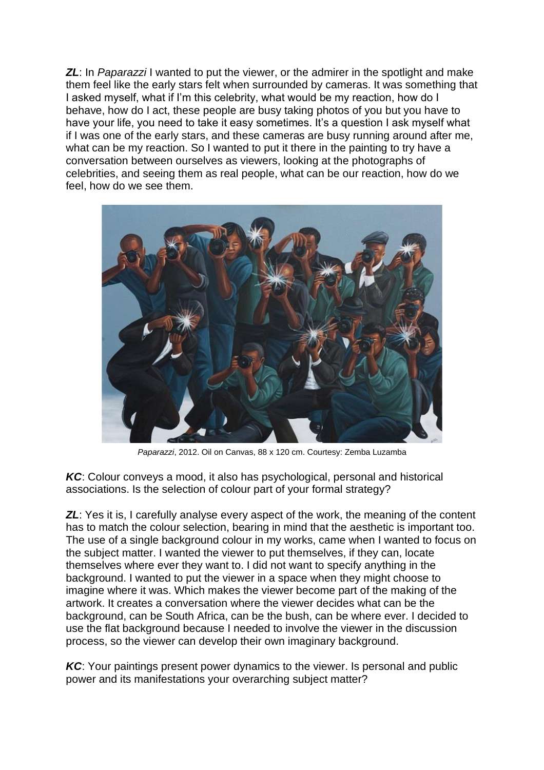**ZL:** In *Paparazzi* I wanted to put the viewer, or the admirer in the spotlight and make them feel like the early stars felt when surrounded by cameras. It was something that I asked myself, what if I'm this celebrity, what would be my reaction, how do I behave, how do I act, these people are busy taking photos of you but you have to have your life, you need to take it easy sometimes. It's a question I ask myself what if I was one of the early stars, and these cameras are busy running around after me, what can be my reaction. So I wanted to put it there in the painting to try have a conversation between ourselves as viewers, looking at the photographs of celebrities, and seeing them as real people, what can be our reaction, how do we feel, how do we see them.



*Paparazzi*, 2012. Oil on Canvas, 88 x 120 cm. Courtesy: Zemba Luzamba

*KC*: Colour conveys a mood, it also has psychological, personal and historical associations. Is the selection of colour part of your formal strategy?

**ZL:** Yes it is, I carefully analyse every aspect of the work, the meaning of the content has to match the colour selection, bearing in mind that the aesthetic is important too. The use of a single background colour in my works, came when I wanted to focus on the subject matter. I wanted the viewer to put themselves, if they can, locate themselves where ever they want to. I did not want to specify anything in the background. I wanted to put the viewer in a space when they might choose to imagine where it was. Which makes the viewer become part of the making of the artwork. It creates a conversation where the viewer decides what can be the background, can be South Africa, can be the bush, can be where ever. I decided to use the flat background because I needed to involve the viewer in the discussion process, so the viewer can develop their own imaginary background.

*KC*: Your paintings present power dynamics to the viewer. Is personal and public power and its manifestations your overarching subject matter?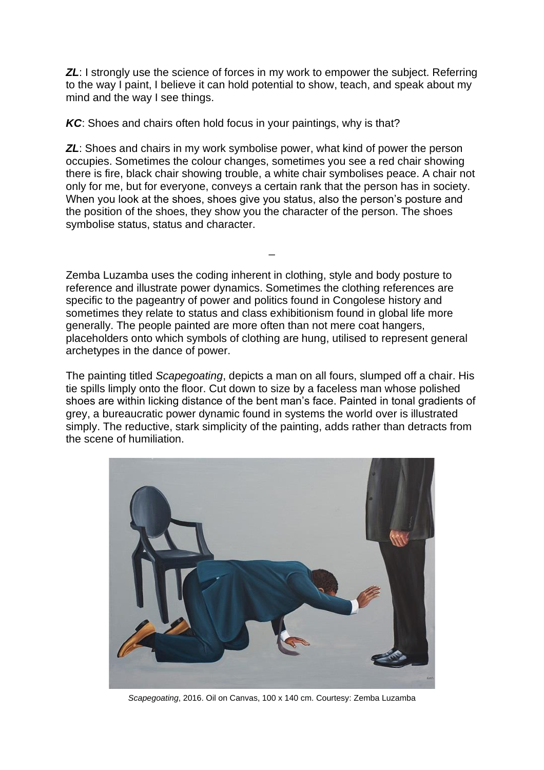*ZL*: I strongly use the science of forces in my work to empower the subject. Referring to the way I paint, I believe it can hold potential to show, teach, and speak about my mind and the way I see things.

*KC*: Shoes and chairs often hold focus in your paintings, why is that?

*ZL*: Shoes and chairs in my work symbolise power, what kind of power the person occupies. Sometimes the colour changes, sometimes you see a red chair showing there is fire, black chair showing trouble, a white chair symbolises peace. A chair not only for me, but for everyone, conveys a certain rank that the person has in society. When you look at the shoes, shoes give you status, also the person's posture and the position of the shoes, they show you the character of the person. The shoes symbolise status, status and character.

\_

Zemba Luzamba uses the coding inherent in clothing, style and body posture to reference and illustrate power dynamics. Sometimes the clothing references are specific to the pageantry of power and politics found in Congolese history and sometimes they relate to status and class exhibitionism found in global life more generally. The people painted are more often than not mere coat hangers, placeholders onto which symbols of clothing are hung, utilised to represent general archetypes in the dance of power.

The painting titled *Scapegoating*, depicts a man on all fours, slumped off a chair. His tie spills limply onto the floor. Cut down to size by a faceless man whose polished shoes are within licking distance of the bent man's face. Painted in tonal gradients of grey, a bureaucratic power dynamic found in systems the world over is illustrated simply. The reductive, stark simplicity of the painting, adds rather than detracts from the scene of humiliation.



*Scapegoating*, 2016. Oil on Canvas, 100 x 140 cm. Courtesy: Zemba Luzamba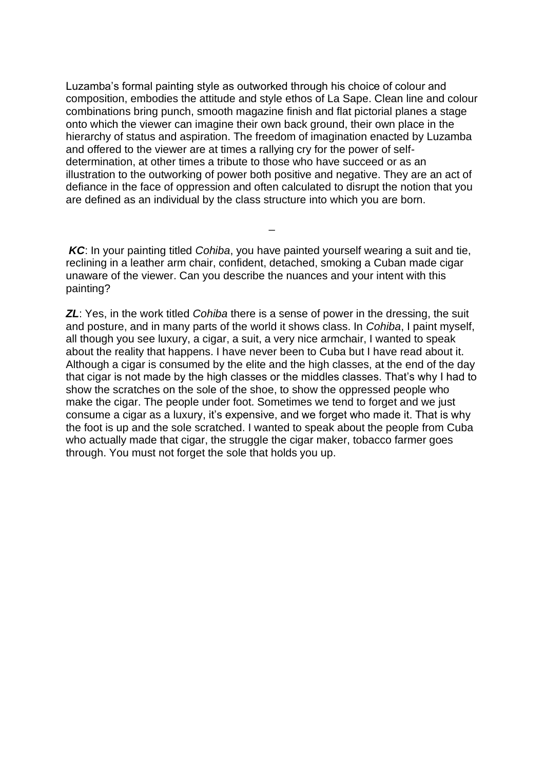Luzamba's formal painting style as outworked through his choice of colour and composition, embodies the attitude and style ethos of La Sape. Clean line and colour combinations bring punch, smooth magazine finish and flat pictorial planes a stage onto which the viewer can imagine their own back ground, their own place in the hierarchy of status and aspiration. The freedom of imagination enacted by Luzamba and offered to the viewer are at times a rallying cry for the power of selfdetermination, at other times a tribute to those who have succeed or as an illustration to the outworking of power both positive and negative. They are an act of defiance in the face of oppression and often calculated to disrupt the notion that you are defined as an individual by the class structure into which you are born.

*KC*: In your painting titled *Cohiba*, you have painted yourself wearing a suit and tie, reclining in a leather arm chair, confident, detached, smoking a Cuban made cigar unaware of the viewer. Can you describe the nuances and your intent with this painting?

\_

*ZL*: Yes, in the work titled *Cohiba* there is a sense of power in the dressing, the suit and posture, and in many parts of the world it shows class. In *Cohiba*, I paint myself, all though you see luxury, a cigar, a suit, a very nice armchair, I wanted to speak about the reality that happens. I have never been to Cuba but I have read about it. Although a cigar is consumed by the elite and the high classes, at the end of the day that cigar is not made by the high classes or the middles classes. That's why I had to show the scratches on the sole of the shoe, to show the oppressed people who make the cigar. The people under foot. Sometimes we tend to forget and we just consume a cigar as a luxury, it's expensive, and we forget who made it. That is why the foot is up and the sole scratched. I wanted to speak about the people from Cuba who actually made that cigar, the struggle the cigar maker, tobacco farmer goes through. You must not forget the sole that holds you up.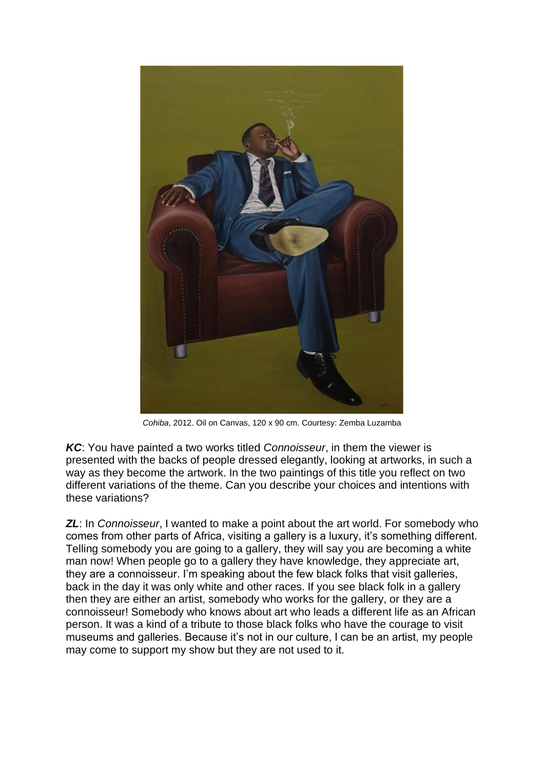

*Cohiba*, 2012. Oil on Canvas, 120 x 90 cm. Courtesy: Zemba Luzamba

*KC*: You have painted a two works titled *Connoisseur*, in them the viewer is presented with the backs of people dressed elegantly, looking at artworks, in such a way as they become the artwork. In the two paintings of this title you reflect on two different variations of the theme. Can you describe your choices and intentions with these variations?

*ZL*: In *Connoisseur*, I wanted to make a point about the art world. For somebody who comes from other parts of Africa, visiting a gallery is a luxury, it's something different. Telling somebody you are going to a gallery, they will say you are becoming a white man now! When people go to a gallery they have knowledge, they appreciate art, they are a connoisseur. I'm speaking about the few black folks that visit galleries, back in the day it was only white and other races. If you see black folk in a gallery then they are either an artist, somebody who works for the gallery, or they are a connoisseur! Somebody who knows about art who leads a different life as an African person. It was a kind of a tribute to those black folks who have the courage to visit museums and galleries. Because it's not in our culture, I can be an artist, my people may come to support my show but they are not used to it.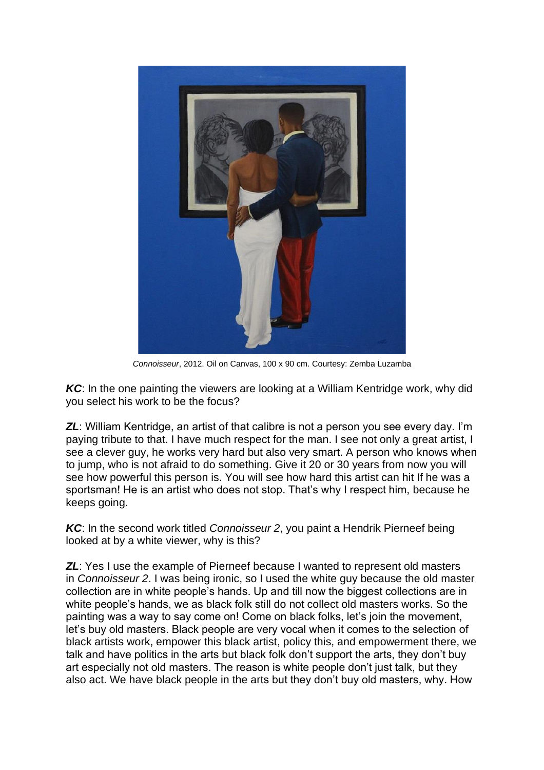

*Connoisseur*, 2012. Oil on Canvas, 100 x 90 cm. Courtesy: Zemba Luzamba

*KC*: In the one painting the viewers are looking at a William Kentridge work, why did you select his work to be the focus?

**ZL:** William Kentridge, an artist of that calibre is not a person you see every day. I'm paying tribute to that. I have much respect for the man. I see not only a great artist, I see a clever guy, he works very hard but also very smart. A person who knows when to jump, who is not afraid to do something. Give it 20 or 30 years from now you will see how powerful this person is. You will see how hard this artist can hit If he was a sportsman! He is an artist who does not stop. That's why I respect him, because he keeps going.

*KC*: In the second work titled *Connoisseur 2*, you paint a Hendrik Pierneef being looked at by a white viewer, why is this?

**ZL:** Yes I use the example of Pierneef because I wanted to represent old masters in *Connoisseur 2*. I was being ironic, so I used the white guy because the old master collection are in white people's hands. Up and till now the biggest collections are in white people's hands, we as black folk still do not collect old masters works. So the painting was a way to say come on! Come on black folks, let's join the movement, let's buy old masters. Black people are very vocal when it comes to the selection of black artists work, empower this black artist, policy this, and empowerment there, we talk and have politics in the arts but black folk don't support the arts, they don't buy art especially not old masters. The reason is white people don't just talk, but they also act. We have black people in the arts but they don't buy old masters, why. How